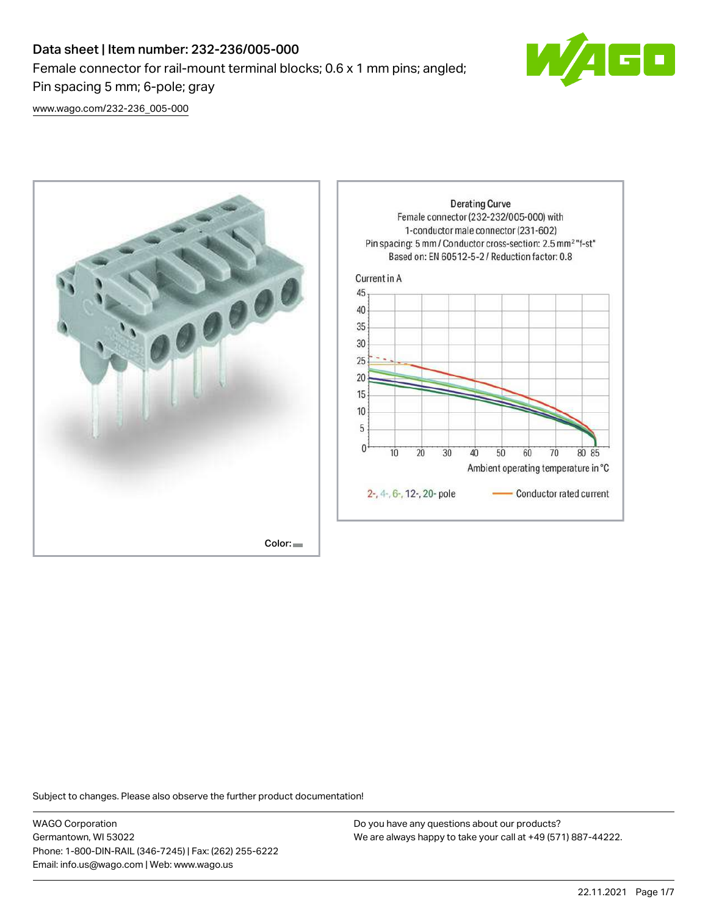# Data sheet | Item number: 232-236/005-000 Female connector for rail-mount terminal blocks; 0.6 x 1 mm pins; angled; Pin spacing 5 mm; 6-pole; gray



[www.wago.com/232-236\\_005-000](http://www.wago.com/232-236_005-000)



Subject to changes. Please also observe the further product documentation!

WAGO Corporation Germantown, WI 53022 Phone: 1-800-DIN-RAIL (346-7245) | Fax: (262) 255-6222 Email: info.us@wago.com | Web: www.wago.us

Do you have any questions about our products? We are always happy to take your call at +49 (571) 887-44222.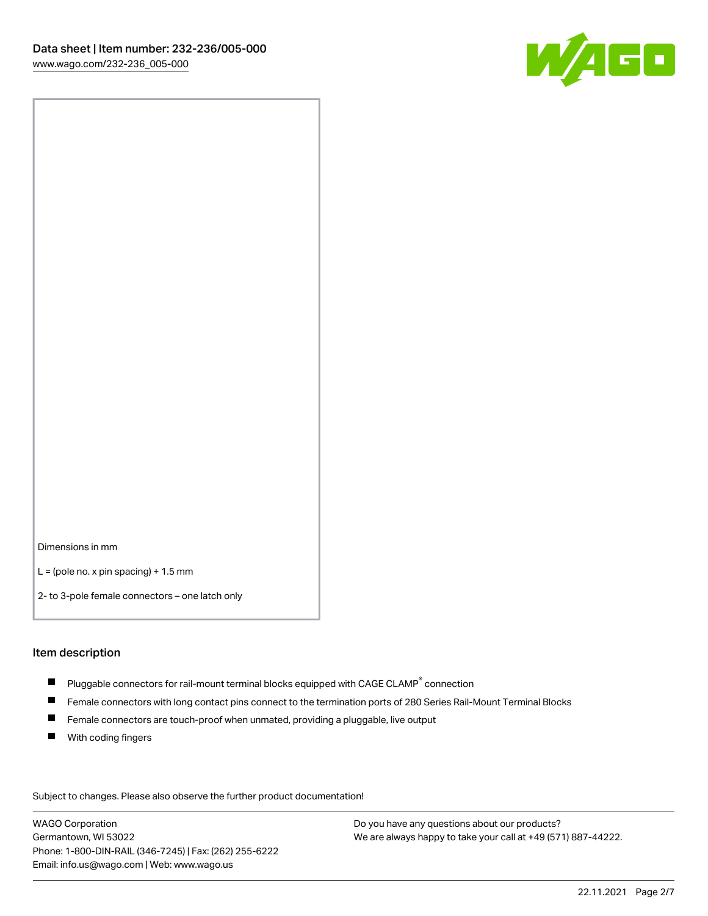

Dimensions in mm

 $L =$  (pole no. x pin spacing) + 1.5 mm

2- to 3-pole female connectors – one latch only

#### Item description

- $\blacksquare$  Pluggable connectors for rail-mount terminal blocks equipped with CAGE CLAMP $^\circ$  connection
- Female connectors with long contact pins connect to the termination ports of 280 Series Rail-Mount Terminal Blocks
- $\blacksquare$ Female connectors are touch-proof when unmated, providing a pluggable, live output
- $\blacksquare$ With coding fingers

Subject to changes. Please also observe the further product documentation! Data

WAGO Corporation Germantown, WI 53022 Phone: 1-800-DIN-RAIL (346-7245) | Fax: (262) 255-6222 Email: info.us@wago.com | Web: www.wago.us

Do you have any questions about our products? We are always happy to take your call at +49 (571) 887-44222.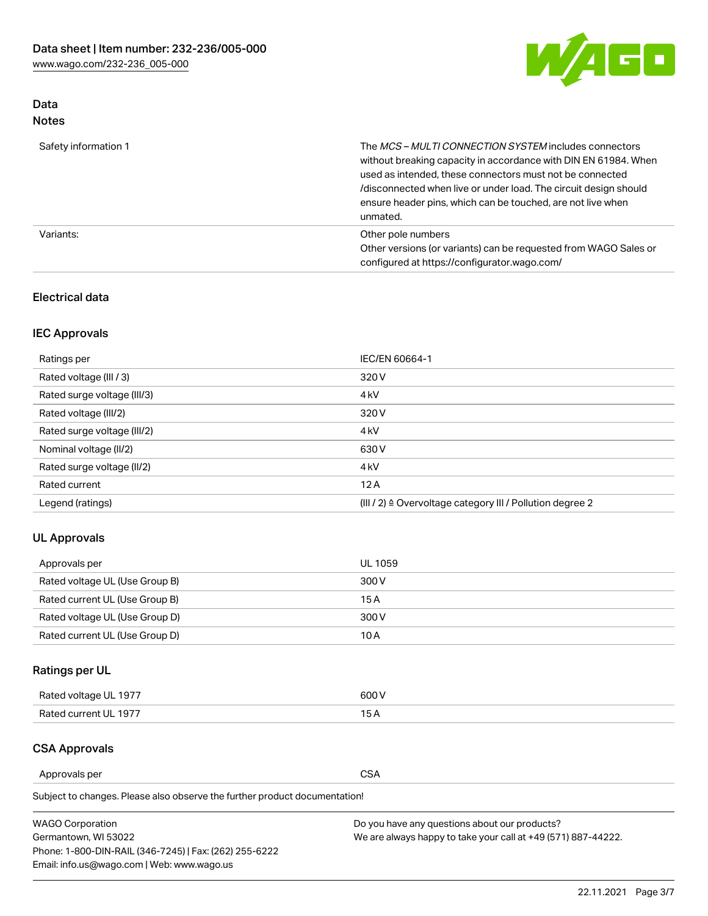

# Data Notes

| Safety information 1 | The MCS-MULTI CONNECTION SYSTEM includes connectors<br>without breaking capacity in accordance with DIN EN 61984. When<br>used as intended, these connectors must not be connected<br>/disconnected when live or under load. The circuit design should<br>ensure header pins, which can be touched, are not live when<br>unmated. |
|----------------------|-----------------------------------------------------------------------------------------------------------------------------------------------------------------------------------------------------------------------------------------------------------------------------------------------------------------------------------|
| Variants:            | Other pole numbers<br>Other versions (or variants) can be requested from WAGO Sales or<br>configured at https://configurator.wago.com/                                                                                                                                                                                            |

### Electrical data

# IEC Approvals

| Ratings per                 | IEC/EN 60664-1                                                        |
|-----------------------------|-----------------------------------------------------------------------|
| Rated voltage (III / 3)     | 320 V                                                                 |
| Rated surge voltage (III/3) | 4 <sub>k</sub> V                                                      |
| Rated voltage (III/2)       | 320 V                                                                 |
| Rated surge voltage (III/2) | 4 <sub>k</sub> V                                                      |
| Nominal voltage (II/2)      | 630 V                                                                 |
| Rated surge voltage (II/2)  | 4 <sub>k</sub> V                                                      |
| Rated current               | 12A                                                                   |
| Legend (ratings)            | $(III / 2)$ $\triangle$ Overvoltage category III / Pollution degree 2 |

### UL Approvals

| Approvals per                  | UL 1059 |
|--------------------------------|---------|
| Rated voltage UL (Use Group B) | 300 V   |
| Rated current UL (Use Group B) | 15 A    |
| Rated voltage UL (Use Group D) | 300 V   |
| Rated current UL (Use Group D) | 10 A    |

# Ratings per UL

| Rated voltage UL 1977 | 300 V |
|-----------------------|-------|
| Rated current UL 1977 |       |

### CSA Approvals

Approvals per CSA

| <b>WAGO Corporation</b>                                | Do you have any questions about our products?                 |
|--------------------------------------------------------|---------------------------------------------------------------|
| Germantown, WI 53022                                   | We are always happy to take your call at +49 (571) 887-44222. |
| Phone: 1-800-DIN-RAIL (346-7245)   Fax: (262) 255-6222 |                                                               |
| Email: info.us@wago.com   Web: www.wago.us             |                                                               |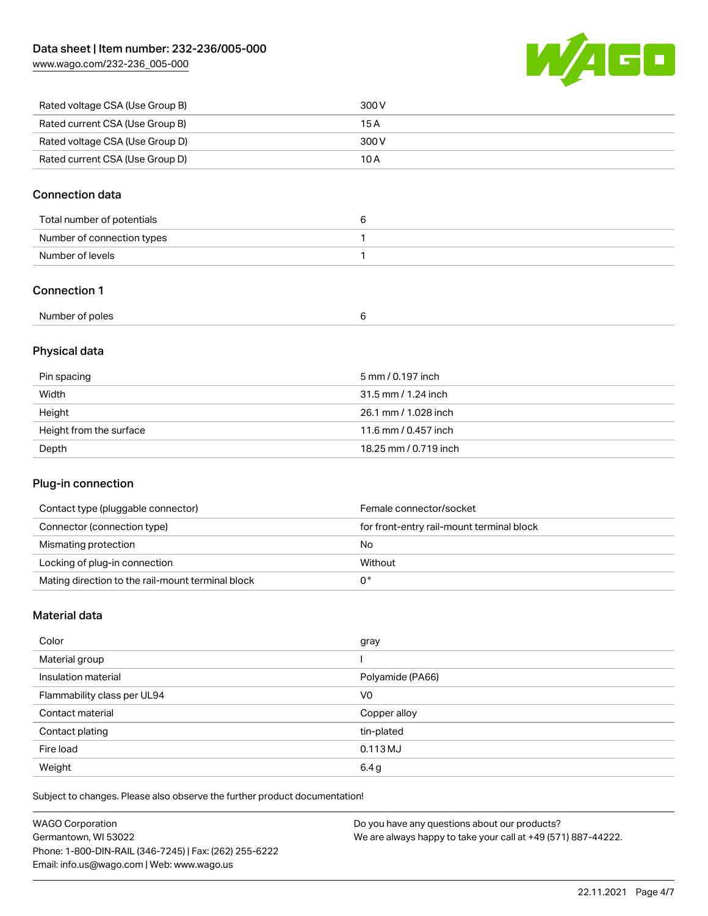[www.wago.com/232-236\\_005-000](http://www.wago.com/232-236_005-000)



| Rated voltage CSA (Use Group B) | 300 V |
|---------------------------------|-------|
| Rated current CSA (Use Group B) | 15 A  |
| Rated voltage CSA (Use Group D) | 300 V |
| Rated current CSA (Use Group D) | 10 A  |

### Connection data

### Connection 1

| Number of poles |  |  |
|-----------------|--|--|
|-----------------|--|--|

# Physical data

| Pin spacing             | 5 mm / 0.197 inch     |
|-------------------------|-----------------------|
| Width                   | 31.5 mm / 1.24 inch   |
| Height                  | 26.1 mm / 1.028 inch  |
| Height from the surface | 11.6 mm / 0.457 inch  |
| Depth                   | 18.25 mm / 0.719 inch |

# Plug-in connection

| Contact type (pluggable connector)                | Female connector/socket                   |
|---------------------------------------------------|-------------------------------------------|
| Connector (connection type)                       | for front-entry rail-mount terminal block |
| Mismating protection                              | No                                        |
| Locking of plug-in connection                     | Without                                   |
| Mating direction to the rail-mount terminal block |                                           |

### Material data

| Color                       | gray             |
|-----------------------------|------------------|
| Material group              |                  |
| Insulation material         | Polyamide (PA66) |
| Flammability class per UL94 | V <sub>0</sub>   |
| Contact material            | Copper alloy     |
| Contact plating             | tin-plated       |
| Fire load                   | $0.113$ MJ       |
| Weight                      | 6.4g             |

| <b>WAGO Corporation</b>                                | Do you have any questions about our products?                 |
|--------------------------------------------------------|---------------------------------------------------------------|
| Germantown, WI 53022                                   | We are always happy to take your call at +49 (571) 887-44222. |
| Phone: 1-800-DIN-RAIL (346-7245)   Fax: (262) 255-6222 |                                                               |
| Email: info.us@wago.com   Web: www.wago.us             |                                                               |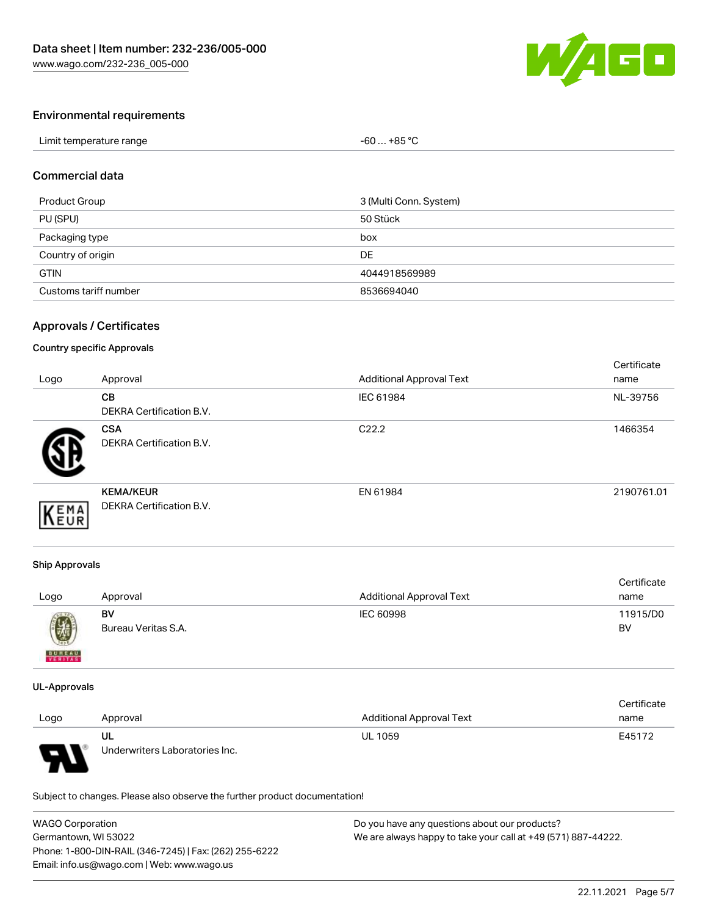

### Environmental requirements

| Limit temperature range | -60  +85 °Ր |  |
|-------------------------|-------------|--|
|-------------------------|-------------|--|

#### Commercial data

| Product Group         | 3 (Multi Conn. System) |
|-----------------------|------------------------|
| PU (SPU)              | 50 Stück               |
| Packaging type        | box                    |
| Country of origin     | DE                     |
| <b>GTIN</b>           | 4044918569989          |
| Customs tariff number | 8536694040             |

### Approvals / Certificates

#### Country specific Approvals

| Logo | Approval                                            | <b>Additional Approval Text</b> | Certificate<br>name |
|------|-----------------------------------------------------|---------------------------------|---------------------|
|      | <b>CB</b><br><b>DEKRA Certification B.V.</b>        | IEC 61984                       | NL-39756            |
|      | <b>CSA</b><br><b>DEKRA Certification B.V.</b>       | C <sub>22.2</sub>               | 1466354             |
| EMA  | <b>KEMA/KEUR</b><br><b>DEKRA Certification B.V.</b> | EN 61984                        | 2190761.01          |

#### Ship Approvals

| Logo          | Approval            | <b>Additional Approval Text</b> | Certificate<br>name |
|---------------|---------------------|---------------------------------|---------------------|
| $\bigcirc$    | BV                  | IEC 60998                       | 11915/D0            |
| <b>BUREAU</b> | Bureau Veritas S.A. |                                 | BV                  |

#### UL-Approvals

|      |                                |                                 | Certificate |
|------|--------------------------------|---------------------------------|-------------|
| Logo | Approval                       | <b>Additional Approval Text</b> | name        |
|      | UL                             | <b>UL 1059</b>                  | E45172      |
| L    | Underwriters Laboratories Inc. |                                 |             |

| <b>WAGO Corporation</b>                                | Do you have any questions about our products?                 |
|--------------------------------------------------------|---------------------------------------------------------------|
| Germantown, WI 53022                                   | We are always happy to take your call at +49 (571) 887-44222. |
| Phone: 1-800-DIN-RAIL (346-7245)   Fax: (262) 255-6222 |                                                               |
| Email: info.us@wago.com   Web: www.wago.us             |                                                               |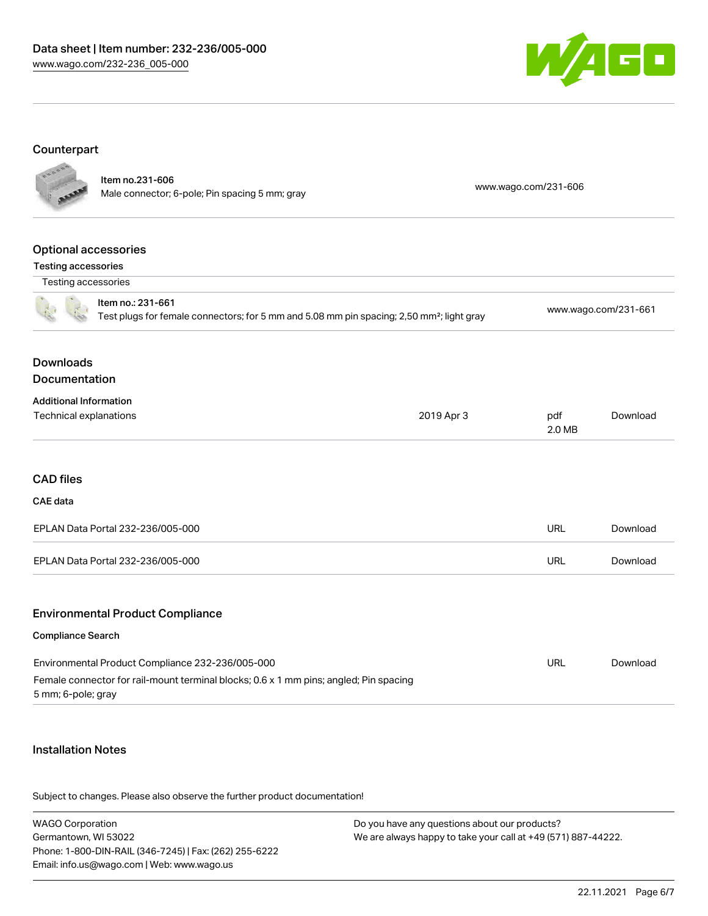

# Counterpart

|                                                   | Item no.231-606<br>Male connector; 6-pole; Pin spacing 5 mm; gray                                                          |            | www.wago.com/231-606 |                      |
|---------------------------------------------------|----------------------------------------------------------------------------------------------------------------------------|------------|----------------------|----------------------|
|                                                   |                                                                                                                            |            |                      |                      |
| <b>Optional accessories</b>                       |                                                                                                                            |            |                      |                      |
| <b>Testing accessories</b><br>Testing accessories |                                                                                                                            |            |                      |                      |
|                                                   | Item no.: 231-661<br>Test plugs for female connectors; for 5 mm and 5.08 mm pin spacing; 2,50 mm <sup>2</sup> ; light gray |            |                      | www.wago.com/231-661 |
| <b>Downloads</b><br>Documentation                 |                                                                                                                            |            |                      |                      |
| <b>Additional Information</b>                     |                                                                                                                            |            |                      |                      |
| <b>Technical explanations</b>                     |                                                                                                                            | 2019 Apr 3 | pdf<br>2.0 MB        | Download             |
| <b>CAD files</b>                                  |                                                                                                                            |            |                      |                      |
| CAE data                                          |                                                                                                                            |            |                      |                      |
|                                                   | EPLAN Data Portal 232-236/005-000                                                                                          |            | <b>URL</b>           | Download             |
|                                                   | EPLAN Data Portal 232-236/005-000                                                                                          |            | <b>URL</b>           | Download             |
|                                                   | <b>Environmental Product Compliance</b>                                                                                    |            |                      |                      |
| Compliance Search                                 |                                                                                                                            |            |                      |                      |
|                                                   | Environmental Product Compliance 232-236/005-000                                                                           |            | <b>URL</b>           | Download             |
| 5 mm; 6-pole; gray                                | Female connector for rail-mount terminal blocks; 0.6 x 1 mm pins; angled; Pin spacing                                      |            |                      |                      |
|                                                   |                                                                                                                            |            |                      |                      |

### Installation Notes

| <b>WAGO Corporation</b>                                | Do you have any questions about our products?                 |
|--------------------------------------------------------|---------------------------------------------------------------|
| Germantown, WI 53022                                   | We are always happy to take your call at +49 (571) 887-44222. |
| Phone: 1-800-DIN-RAIL (346-7245)   Fax: (262) 255-6222 |                                                               |
| Email: info.us@wago.com   Web: www.wago.us             |                                                               |